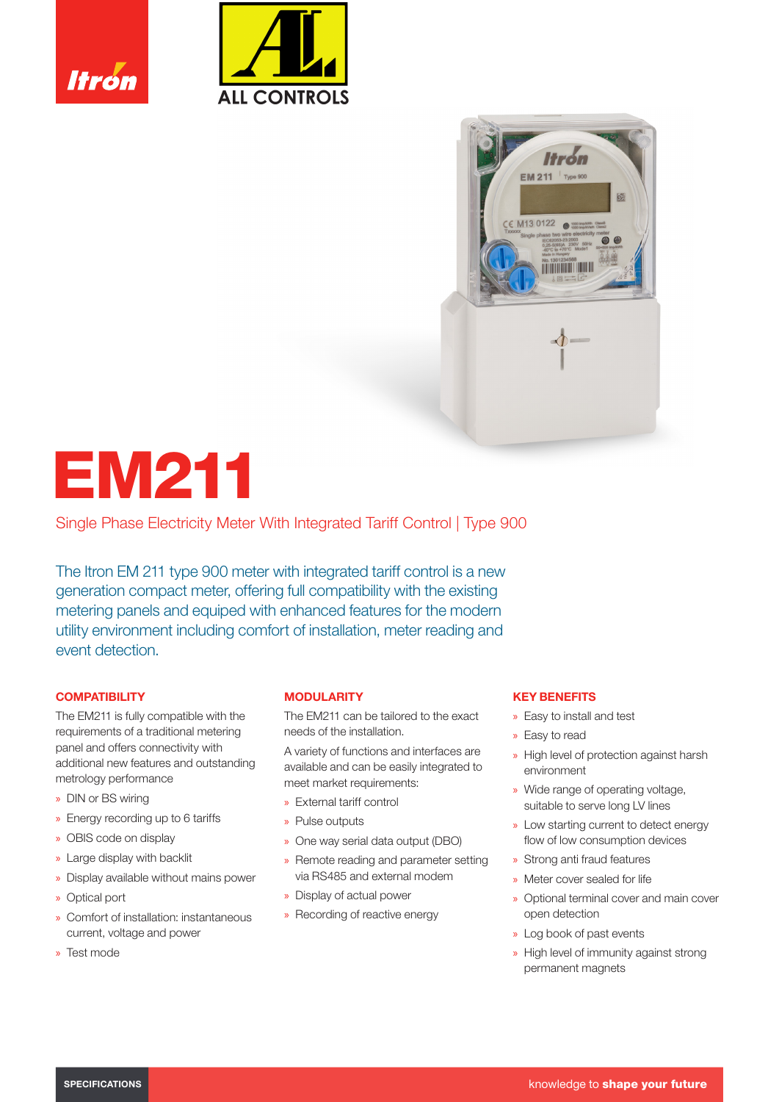





# EM211

Single Phase Electricity Meter With Integrated Tariff Control | Type 900

The Itron EM 211 type 900 meter with integrated tariff control is a new generation compact meter, offering full compatibility with the existing metering panels and equiped with enhanced features for the modern utility environment including comfort of installation, meter reading and event detection.

# **COMPATIBILITY**

The EM211 is fully compatible with the requirements of a traditional metering panel and offers connectivity with additional new features and outstanding metrology performance

- » DIN or BS wiring
- » Energy recording up to 6 tariffs
- » OBIS code on display
- » Large display with backlit
- » Display available without mains power
- » Optical port
- » Comfort of installation: instantaneous current, voltage and power
- » Test mode

# **MODULARITY**

The EM211 can be tailored to the exact needs of the installation.

A variety of functions and interfaces are available and can be easily integrated to meet market requirements:

- » External tariff control
- » Pulse outputs
- » One way serial data output (DBO)
- » Remote reading and parameter setting via RS485 and external modem
- » Display of actual power
- » Recording of reactive energy

## KEY BENEFITS

- » Easy to install and test
- » Easy to read
- » High level of protection against harsh environment
- » Wide range of operating voltage, suitable to serve long LV lines
- » Low starting current to detect energy flow of low consumption devices
- » Strong anti fraud features
- » Meter cover sealed for life
- » Optional terminal cover and main cover open detection
- » Log book of past events
- » High level of immunity against strong permanent magnets